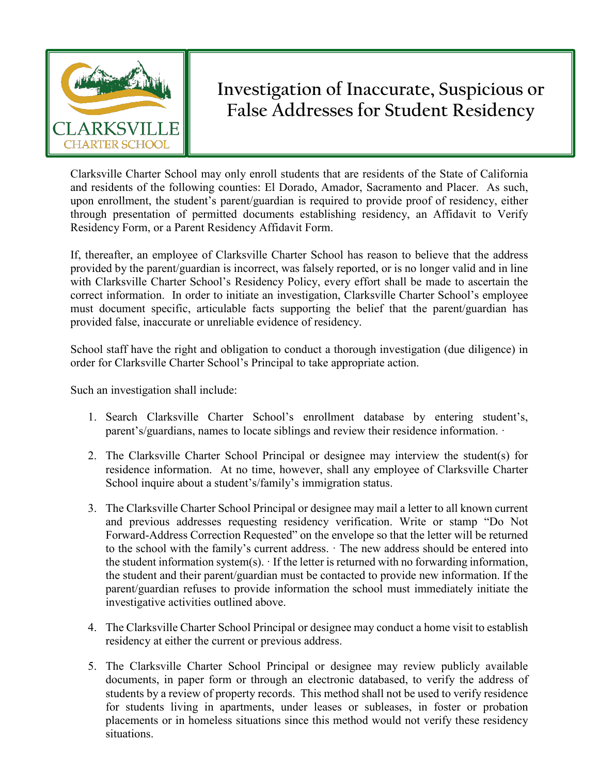

## **Investigation of Inaccurate, Suspicious or False Addresses for Student Residency**

Clarksville Charter School may only enroll students that are residents of the State of California and residents of the following counties: El Dorado, Amador, Sacramento and Placer. As such, upon enrollment, the student's parent/guardian is required to provide proof of residency, either through presentation of permitted documents establishing residency, an Affidavit to Verify Residency Form, or a Parent Residency Affidavit Form.

If, thereafter, an employee of Clarksville Charter School has reason to believe that the address provided by the parent/guardian is incorrect, was falsely reported, or is no longer valid and in line with Clarksville Charter School's Residency Policy, every effort shall be made to ascertain the correct information. In order to initiate an investigation, Clarksville Charter School's employee must document specific, articulable facts supporting the belief that the parent/guardian has provided false, inaccurate or unreliable evidence of residency.

School staff have the right and obligation to conduct a thorough investigation (due diligence) in order for Clarksville Charter School's Principal to take appropriate action.

Such an investigation shall include:

- 1. Search Clarksville Charter School's enrollment database by entering student's, parent's/guardians, names to locate siblings and review their residence information. ·
- 2. The Clarksville Charter School Principal or designee may interview the student(s) for residence information. At no time, however, shall any employee of Clarksville Charter School inquire about a student's/family's immigration status.
- 3. The Clarksville Charter School Principal or designee may mail a letter to all known current and previous addresses requesting residency verification. Write or stamp "Do Not Forward-Address Correction Requested" on the envelope so that the letter will be returned to the school with the family's current address. · The new address should be entered into the student information system(s).  $\cdot$  If the letter is returned with no forwarding information, the student and their parent/guardian must be contacted to provide new information. If the parent/guardian refuses to provide information the school must immediately initiate the investigative activities outlined above.
- 4. The Clarksville Charter School Principal or designee may conduct a home visit to establish residency at either the current or previous address.
- 5. The Clarksville Charter School Principal or designee may review publicly available documents, in paper form or through an electronic databased, to verify the address of students by a review of property records. This method shall not be used to verify residence for students living in apartments, under leases or subleases, in foster or probation placements or in homeless situations since this method would not verify these residency situations.